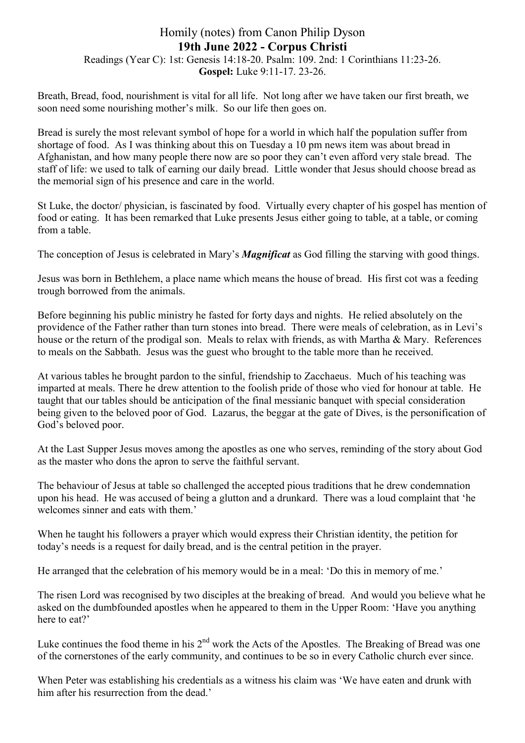## Homily (notes) from Canon Philip Dyson 19th June 2022 - Corpus Christi Readings (Year C): 1st: Genesis 14:18-20. Psalm: 109. 2nd: 1 Corinthians 11:23-26. Gospel: Luke 9:11-17. 23-26.

Breath, Bread, food, nourishment is vital for all life. Not long after we have taken our first breath, we soon need some nourishing mother's milk. So our life then goes on.

Bread is surely the most relevant symbol of hope for a world in which half the population suffer from shortage of food. As I was thinking about this on Tuesday a 10 pm news item was about bread in Afghanistan, and how many people there now are so poor they can't even afford very stale bread. The staff of life: we used to talk of earning our daily bread. Little wonder that Jesus should choose bread as the memorial sign of his presence and care in the world.

St Luke, the doctor/ physician, is fascinated by food. Virtually every chapter of his gospel has mention of food or eating. It has been remarked that Luke presents Jesus either going to table, at a table, or coming from a table.

The conception of Jesus is celebrated in Mary's *Magnificat* as God filling the starving with good things.

Jesus was born in Bethlehem, a place name which means the house of bread. His first cot was a feeding trough borrowed from the animals.

Before beginning his public ministry he fasted for forty days and nights. He relied absolutely on the providence of the Father rather than turn stones into bread. There were meals of celebration, as in Levi's house or the return of the prodigal son. Meals to relax with friends, as with Martha & Mary. References to meals on the Sabbath. Jesus was the guest who brought to the table more than he received.

At various tables he brought pardon to the sinful, friendship to Zacchaeus. Much of his teaching was imparted at meals. There he drew attention to the foolish pride of those who vied for honour at table. He taught that our tables should be anticipation of the final messianic banquet with special consideration being given to the beloved poor of God. Lazarus, the beggar at the gate of Dives, is the personification of God's beloved poor.

At the Last Supper Jesus moves among the apostles as one who serves, reminding of the story about God as the master who dons the apron to serve the faithful servant.

The behaviour of Jesus at table so challenged the accepted pious traditions that he drew condemnation upon his head. He was accused of being a glutton and a drunkard. There was a loud complaint that 'he welcomes sinner and eats with them.'

When he taught his followers a prayer which would express their Christian identity, the petition for today's needs is a request for daily bread, and is the central petition in the prayer.

He arranged that the celebration of his memory would be in a meal: 'Do this in memory of me.'

The risen Lord was recognised by two disciples at the breaking of bread. And would you believe what he asked on the dumbfounded apostles when he appeared to them in the Upper Room: 'Have you anything here to eat?'

Luke continues the food theme in his  $2<sup>nd</sup>$  work the Acts of the Apostles. The Breaking of Bread was one of the cornerstones of the early community, and continues to be so in every Catholic church ever since.

When Peter was establishing his credentials as a witness his claim was 'We have eaten and drunk with him after his resurrection from the dead.